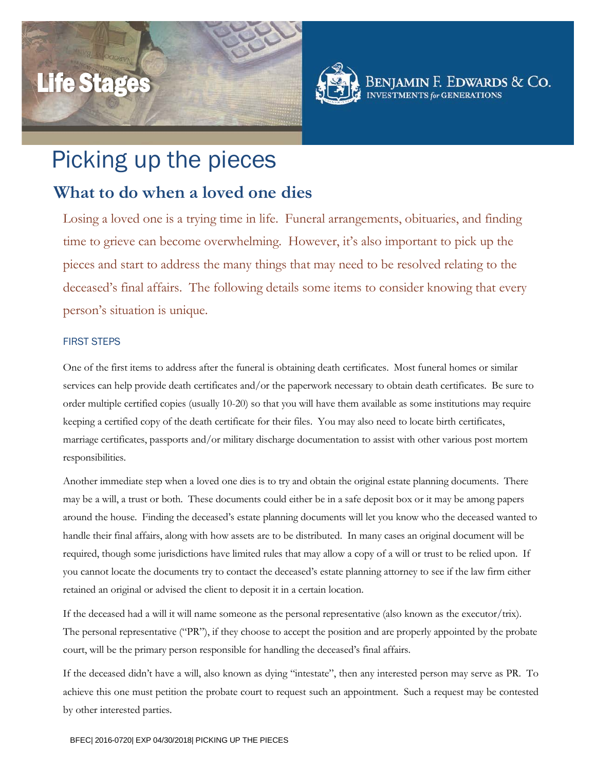# Life Stages



Beniamin F. Edwards & Co. **S** for **GENERATIONS** 

## Picking up the pieces

### **What to do when a loved one dies**

Losing a loved one is a trying time in life. Funeral arrangements, obituaries, and finding time to grieve can become overwhelming. However, it's also important to pick up the pieces and start to address the many things that may need to be resolved relating to the deceased's final affairs. The following details some items to consider knowing that every person's situation is unique.

#### FIRST STEPS

One of the first items to address after the funeral is obtaining death certificates. Most funeral homes or similar services can help provide death certificates and/or the paperwork necessary to obtain death certificates. Be sure to order multiple certified copies (usually 10-20) so that you will have them available as some institutions may require keeping a certified copy of the death certificate for their files. You may also need to locate birth certificates, marriage certificates, passports and/or military discharge documentation to assist with other various post mortem responsibilities.

Another immediate step when a loved one dies is to try and obtain the original estate planning documents. There may be a will, a trust or both. These documents could either be in a safe deposit box or it may be among papers around the house. Finding the deceased's estate planning documents will let you know who the deceased wanted to handle their final affairs, along with how assets are to be distributed. In many cases an original document will be required, though some jurisdictions have limited rules that may allow a copy of a will or trust to be relied upon. If you cannot locate the documents try to contact the deceased's estate planning attorney to see if the law firm either retained an original or advised the client to deposit it in a certain location.

If the deceased had a will it will name someone as the personal representative (also known as the executor/trix). The personal representative ("PR"), if they choose to accept the position and are properly appointed by the probate court, will be the primary person responsible for handling the deceased's final affairs.

If the deceased didn't have a will, also known as dying "intestate", then any interested person may serve as PR. To achieve this one must petition the probate court to request such an appointment. Such a request may be contested by other interested parties.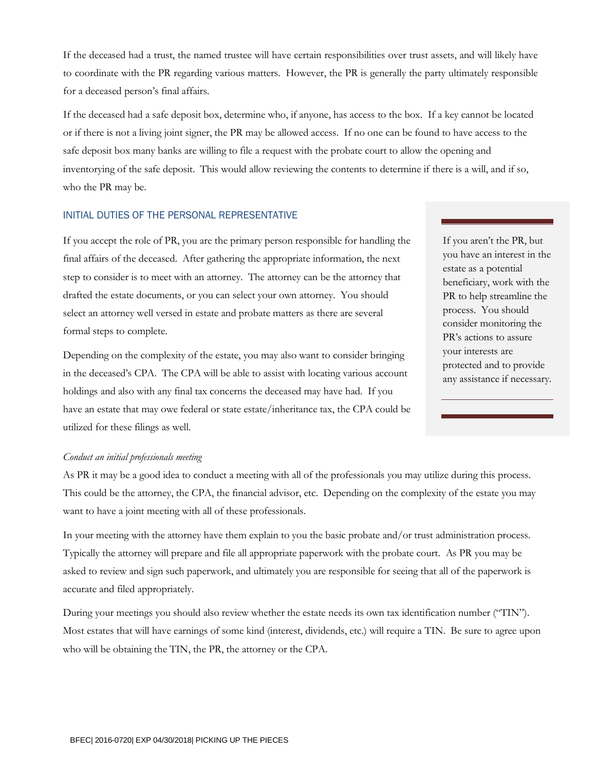<span id="page-1-0"></span>If the deceased had a trust, the named trustee will have certain responsibilities over trust assets, and will likely have to coordinate with the PR regarding various matters. However, the PR is generally the party ultimately responsible for a deceased person's final affairs.

If the deceased had a safe deposit box, determine who, if anyone, has access to the box. If a key cannot be located or if there is not a living joint signer, the PR may be allowed access. If no one can be found to have access to the safe deposit box many banks are willing to file a request with the probate court to allow the opening and inventorying of the safe deposit. This would allow reviewing the contents to determine if there is a will, and if so, who the PR may be.

#### INITIAL DUTIES OF THE PERSONAL REPRESENTATIVE

If you accept the role of PR, you are the primary person responsible for handling the final affairs of the deceased. After gathering the appropriate information, the next step to consider is to meet with an attorney. The attorney can be the attorney that drafted the estate documents, or you can select your own attorney. You should select an attorney well versed in estate and probate matters as there are several formal steps to complete.

Depending on the complexity of the estate, you may also want to consider bringing in the deceased's CPA. The CPA will be able to assist with locating various account holdings and also with any final tax concerns the deceased may have had. If you have an estate that may owe federal or state estate/inheritance tax, the CPA could be utilized for these filings as well.

If you aren't the PR, but you have an interest in the estate as a potential beneficiary, work with the PR to help streamline the process. You should consider monitoring the PR's actions to assure your interests are protected and to provide any assistance if necessary.

#### *Conduct an initial professionals meeting*

As PR it may be a good idea to conduct a meeting with all of the professionals you may utilize during this process. This could be the attorney, the CPA, the financial advisor, etc. Depending on the complexity of the estate you may want to have a joint meeting with all of these professionals.

In your meeting with the attorney have them explain to you the basic probate and/or trust administration process. Typically the attorney will prepare and file all appropriate paperwork with the probate court. As PR you may be asked to review and sign such paperwork, and ultimately you are responsible for seeing that all of the paperwork is accurate and filed appropriately.

During your meetings you should also review whether the estate needs its own tax identification number ("TIN"). Most estates that will have earnings of some kind (interest, dividends, etc.) will require a TIN. Be sure to agree upon who will be obtaining the TIN, the PR, the attorney or the CPA.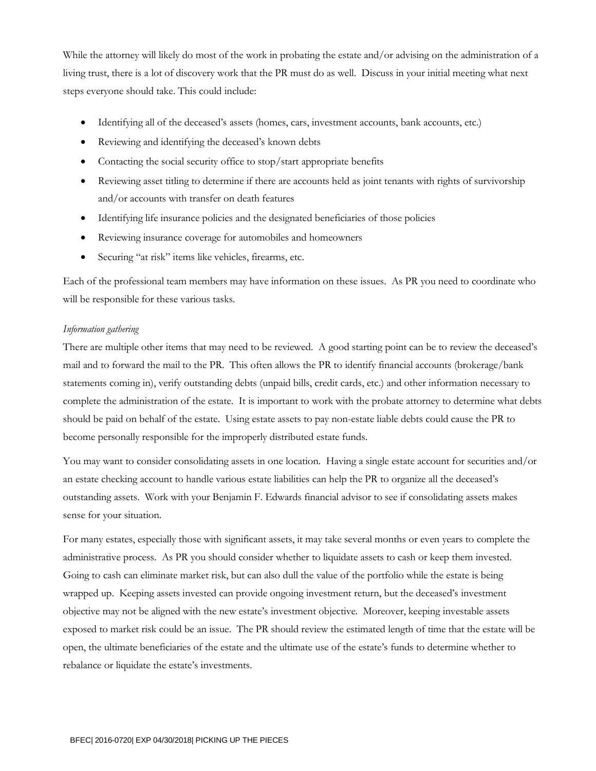While the attorney will likely do most of the work in probating the estate and/or advising on the administration of a living trust, there is a lot of discovery work that the PR must do as well. Discuss in your initial meeting what next steps everyone should take. This could include:

- Identifying all of the deceased's assets (homes, cars, investment accounts, bank accounts, etc.)
- Reviewing and identifying the deceased's known debts
- Contacting the social security office to stop/start appropriate benefits
- Reviewing asset titling to determine if there are accounts held as joint tenants with rights of survivorship and/or accounts with transfer on death features
- Identifying life insurance policies and the designated beneficiaries of those policies
- Reviewing insurance coverage for automobiles and homeowners
- Securing "at risk" items like vehicles, firearms, etc.

Each of the professional team members may have information on these issues. As PR you need to coordinate who will be responsible for these various tasks.

#### *Information gathering*

There are multiple other items that may need to be reviewed. A good starting point can be to review the deceased's mail and to forward the mail to the PR. This often allows the PR to identify financial accounts (brokerage/bank statements coming in), verify outstanding debts (unpaid bills, credit cards, etc.) and other information necessary to complete the administration of the estate. It is important to work with the probate attorney to determine what debts should be paid on behalf of the estate. Using estate assets to pay non-estate liable debts could cause the PR to become personally responsible for the improperly distributed estate funds.

You may want to consider consolidating assets in one location. Having a single estate account for securities and/or an estate checking account to handle various estate liabilities can help the PR to organize all the deceased's outstanding assets. Work with your Benjamin F. Edwards financial advisor to see if consolidating assets makes sense for your situation.

For many estates, especially those with significant assets, it may take several months or even years to complete the administrative process. As PR you should consider whether to liquidate assets to cash or keep them invested. Going to cash can eliminate market risk, but can also dull the value of the portfolio while the estate is being wrapped up. Keeping assets invested can provide ongoing investment return, but the deceased's investment objective may not be aligned with the new estate's investment objective. Moreover, keeping investable assets exposed to market risk could be an issue. The PR should review the estimated length of time that the estate will be open, the ultimate beneficiaries of the estate and the ultimate use of the estate's funds to determine whether to rebalance or liquidate the estate's investments.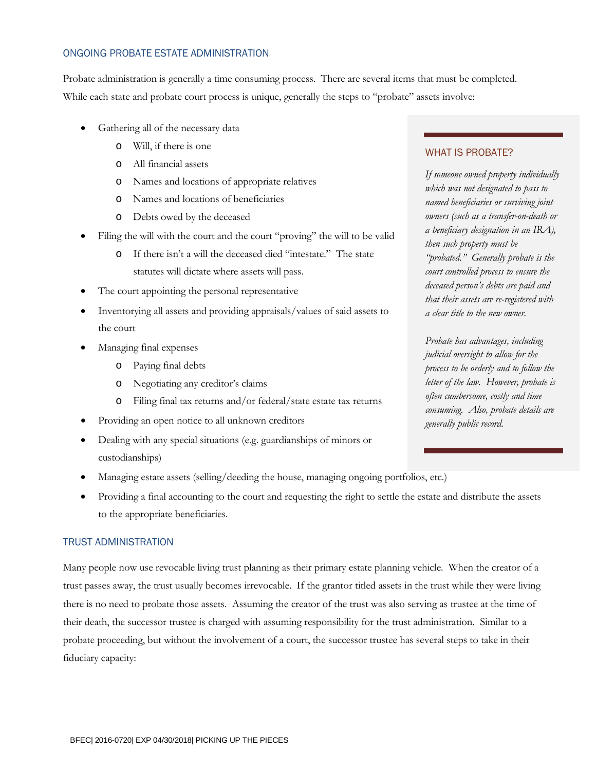#### ONGOING PROBATE ESTATE ADMINISTRATION

Probate administration is generally a time consuming process. There are several items that must be completed. While each state and probate court process is unique, generally the steps to "probate" assets involve:

- Gathering all of the necessary data
	- o Will, if there is one
	- o All financial assets
	- o Names and locations of appropriate relatives
	- o Names and locations of beneficiaries
	- o Debts owed by the deceased
- Filing the will with the court and the court "proving" the will to be valid
	- o If there isn't a will the deceased died "intestate." The state statutes will dictate where assets will pass.
- The court appointing the personal representative
- Inventorying all assets and providing appraisals/values of said assets to the court
- Managing final expenses
	- o Paying final debts
	- o Negotiating any creditor's claims
	- o Filing final tax returns and/or federal/state estate tax returns
- Providing an open notice to all unknown creditors
- Dealing with any special situations (e.g. guardianships of minors or custodianships)
- Managing estate assets (selling/deeding the house, managing ongoing portfolios, etc.)
- Providing a final accounting to the court and requesting the right to settle the estate and distribute the assets to the appropriate beneficiaries.

#### TRUST ADMINISTRATION

Many people now use revocable living trust planning as their primary estate planning vehicle. When the creator of a trust passes away, the trust usually becomes irrevocable. If the grantor titled assets in the trust while they were living there is no need to probate those assets. Assuming the creator of the trust was also serving as trustee at the time of their death, the successor trustee is charged with assuming responsibility for the trust administration. Similar to a probate proceeding, but without the involvement of a court, the successor trustee has several steps to take in their fiduciary capacity:

#### WHAT IS PROBATE?

*If someone owned property individually which was not designated to pass to named beneficiaries or surviving joint owners (such as a transfer-on-death or a beneficiary designation in an IRA), then such property must be "probated." Generally probate is the court controlled process to ensure the deceased person's debts are paid and that their assets are re-registered with a clear title to the new owner.*

*Probate has advantages, including judicial oversight to allow for the process to be orderly and to follow the letter of the law. However, probate is often cumbersome, costly and time consuming. Also, probate details are generally public record.*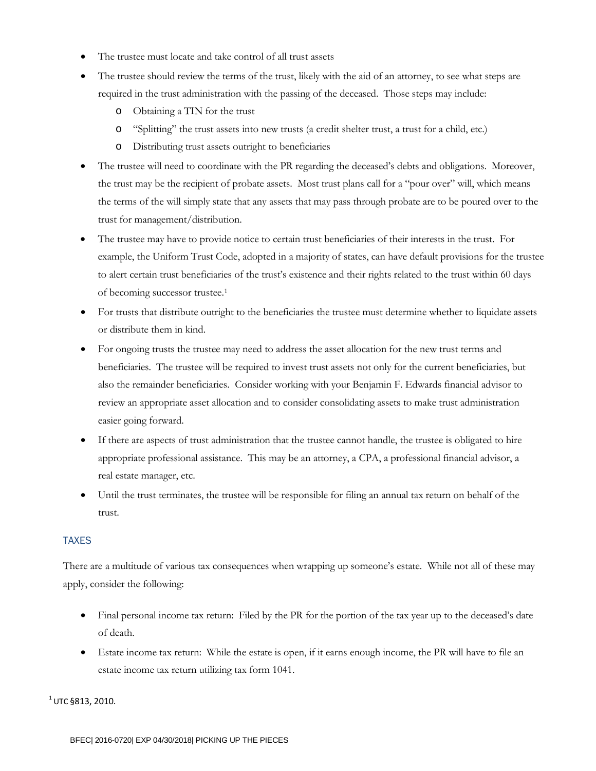- The trustee must locate and take control of all trust assets
- The trustee should review the terms of the trust, likely with the aid of an attorney, to see what steps are required in the trust administration with the passing of the deceased. Those steps may include:
	- o Obtaining a TIN for the trust
	- o "Splitting" the trust assets into new trusts (a credit shelter trust, a trust for a child, etc.)
	- o Distributing trust assets outright to beneficiaries
- The trustee will need to coordinate with the PR regarding the deceased's debts and obligations. Moreover, the trust may be the recipient of probate assets. Most trust plans call for a "pour over" will, which means the terms of the will simply state that any assets that may pass through probate are to be poured over to the trust for management/distribution.
- The trustee may have to provide notice to certain trust beneficiaries of their interests in the trust. For example, the Uniform Trust Code, adopted in a majority of states, can have default provisions for the trustee to alert certain trust beneficiaries of the trust's existence and their rights related to the trust within 60 days of becoming successor trustee[.1](#page-1-0)
- For trusts that distribute outright to the beneficiaries the trustee must determine whether to liquidate assets or distribute them in kind.
- For ongoing trusts the trustee may need to address the asset allocation for the new trust terms and beneficiaries. The trustee will be required to invest trust assets not only for the current beneficiaries, but also the remainder beneficiaries. Consider working with your Benjamin F. Edwards financial advisor to review an appropriate asset allocation and to consider consolidating assets to make trust administration easier going forward.
- If there are aspects of trust administration that the trustee cannot handle, the trustee is obligated to hire appropriate professional assistance. This may be an attorney, a CPA, a professional financial advisor, a real estate manager, etc.
- Until the trust terminates, the trustee will be responsible for filing an annual tax return on behalf of the trust.

#### TAXES

There are a multitude of various tax consequences when wrapping up someone's estate. While not all of these may apply, consider the following:

- Final personal income tax return: Filed by the PR for the portion of the tax year up to the deceased's date of death.
- Estate income tax return: While the estate is open, if it earns enough income, the PR will have to file an estate income tax return utilizing tax form 1041.

 $^{1}$  UTC §813, 2010.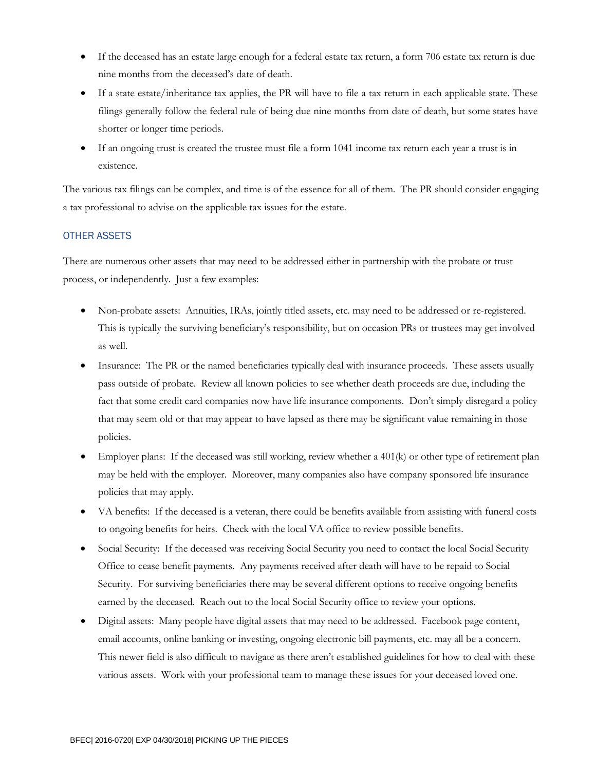- If the deceased has an estate large enough for a federal estate tax return, a form 706 estate tax return is due nine months from the deceased's date of death.
- If a state estate/inheritance tax applies, the PR will have to file a tax return in each applicable state. These filings generally follow the federal rule of being due nine months from date of death, but some states have shorter or longer time periods.
- If an ongoing trust is created the trustee must file a form 1041 income tax return each year a trust is in existence.

The various tax filings can be complex, and time is of the essence for all of them. The PR should consider engaging a tax professional to advise on the applicable tax issues for the estate.

#### OTHER ASSETS

There are numerous other assets that may need to be addressed either in partnership with the probate or trust process, or independently. Just a few examples:

- Non-probate assets: Annuities, IRAs, jointly titled assets, etc. may need to be addressed or re-registered. This is typically the surviving beneficiary's responsibility, but on occasion PRs or trustees may get involved as well.
- Insurance: The PR or the named beneficiaries typically deal with insurance proceeds. These assets usually pass outside of probate. Review all known policies to see whether death proceeds are due, including the fact that some credit card companies now have life insurance components. Don't simply disregard a policy that may seem old or that may appear to have lapsed as there may be significant value remaining in those policies.
- Employer plans: If the deceased was still working, review whether a 401(k) or other type of retirement plan may be held with the employer. Moreover, many companies also have company sponsored life insurance policies that may apply.
- VA benefits: If the deceased is a veteran, there could be benefits available from assisting with funeral costs to ongoing benefits for heirs. Check with the local VA office to review possible benefits.
- Social Security: If the deceased was receiving Social Security you need to contact the local Social Security Office to cease benefit payments. Any payments received after death will have to be repaid to Social Security. For surviving beneficiaries there may be several different options to receive ongoing benefits earned by the deceased. Reach out to the local Social Security office to review your options.
- Digital assets: Many people have digital assets that may need to be addressed. Facebook page content, email accounts, online banking or investing, ongoing electronic bill payments, etc. may all be a concern. This newer field is also difficult to navigate as there aren't established guidelines for how to deal with these various assets. Work with your professional team to manage these issues for your deceased loved one.